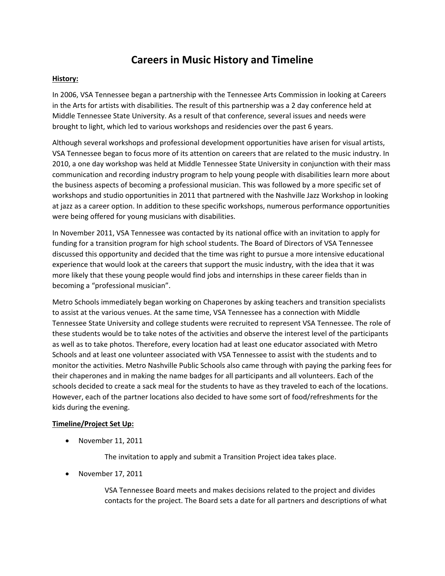## **Careers in Music History and Timeline**

## **History:**

In 2006, VSA Tennessee began a partnership with the Tennessee Arts Commission in looking at Careers in the Arts for artists with disabilities. The result of this partnership was a 2 day conference held at Middle Tennessee State University. As a result of that conference, several issues and needs were brought to light, which led to various workshops and residencies over the past 6 years.

Although several workshops and professional development opportunities have arisen for visual artists, VSA Tennessee began to focus more of its attention on careers that are related to the music industry. In 2010, a one day workshop was held at Middle Tennessee State University in conjunction with their mass communication and recording industry program to help young people with disabilities learn more about the business aspects of becoming a professional musician. This was followed by a more specific set of workshops and studio opportunities in 2011 that partnered with the Nashville Jazz Workshop in looking at jazz as a career option. In addition to these specific workshops, numerous performance opportunities were being offered for young musicians with disabilities.

In November 2011, VSA Tennessee was contacted by its national office with an invitation to apply for funding for a transition program for high school students. The Board of Directors of VSA Tennessee discussed this opportunity and decided that the time was right to pursue a more intensive educational experience that would look at the careers that support the music industry, with the idea that it was more likely that these young people would find jobs and internships in these career fields than in becoming a "professional musician".

Metro Schools immediately began working on Chaperones by asking teachers and transition specialists to assist at the various venues. At the same time, VSA Tennessee has a connection with Middle Tennessee State University and college students were recruited to represent VSA Tennessee. The role of these students would be to take notes of the activities and observe the interest level of the participants as well as to take photos. Therefore, every location had at least one educator associated with Metro Schools and at least one volunteer associated with VSA Tennessee to assist with the students and to monitor the activities. Metro Nashville Public Schools also came through with paying the parking fees for their chaperones and in making the name badges for all participants and all volunteers. Each of the schools decided to create a sack meal for the students to have as they traveled to each of the locations. However, each of the partner locations also decided to have some sort of food/refreshments for the kids during the evening.

## **Timeline/Project Set Up:**

• November 11, 2011

The invitation to apply and submit a Transition Project idea takes place.

• November 17, 2011

VSA Tennessee Board meets and makes decisions related to the project and divides contacts for the project. The Board sets a date for all partners and descriptions of what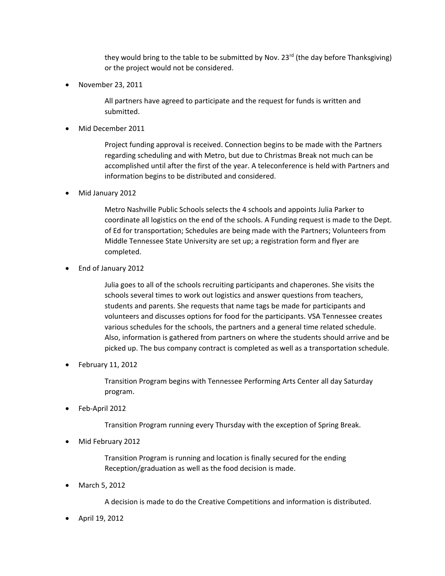they would bring to the table to be submitted by Nov. 23<sup>rd</sup> (the day before Thanksgiving) or the project would not be considered.

November 23, 2011

All partners have agreed to participate and the request for funds is written and submitted.

Mid December 2011

Project funding approval is received. Connection begins to be made with the Partners regarding scheduling and with Metro, but due to Christmas Break not much can be accomplished until after the first of the year. A teleconference is held with Partners and information begins to be distributed and considered.

Mid January 2012

Metro Nashville Public Schools selects the 4 schools and appoints Julia Parker to coordinate all logistics on the end of the schools. A Funding request is made to the Dept. of Ed for transportation; Schedules are being made with the Partners; Volunteers from Middle Tennessee State University are set up; a registration form and flyer are completed.

End of January 2012

Julia goes to all of the schools recruiting participants and chaperones. She visits the schools several times to work out logistics and answer questions from teachers, students and parents. She requests that name tags be made for participants and volunteers and discusses options for food for the participants. VSA Tennessee creates various schedules for the schools, the partners and a general time related schedule. Also, information is gathered from partners on where the students should arrive and be picked up. The bus company contract is completed as well as a transportation schedule.

February 11, 2012

Transition Program begins with Tennessee Performing Arts Center all day Saturday program.

Feb-April 2012

Transition Program running every Thursday with the exception of Spring Break.

Mid February 2012

Transition Program is running and location is finally secured for the ending Reception/graduation as well as the food decision is made.

March 5, 2012

A decision is made to do the Creative Competitions and information is distributed.

April 19, 2012